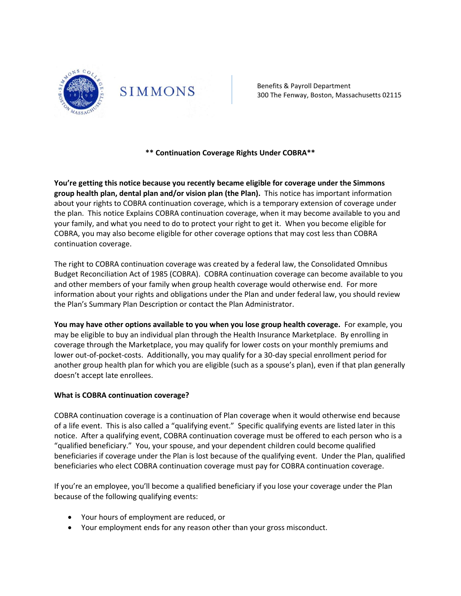

**SIMMONS** 

Benefits & Payroll Department 300 The Fenway, Boston, Massachusetts 02115

## **\*\* Continuation Coverage Rights Under COBRA\*\***

**You're getting this notice because you recently became eligible for coverage under the Simmons group health plan, dental plan and/or vision plan (the Plan).** This notice has important information about your rights to COBRA continuation coverage, which is a temporary extension of coverage under the plan. This notice Explains COBRA continuation coverage, when it may become available to you and your family, and what you need to do to protect your right to get it. When you become eligible for COBRA, you may also become eligible for other coverage options that may cost less than COBRA continuation coverage.

The right to COBRA continuation coverage was created by a federal law, the Consolidated Omnibus Budget Reconciliation Act of 1985 (COBRA). COBRA continuation coverage can become available to you and other members of your family when group health coverage would otherwise end. For more information about your rights and obligations under the Plan and under federal law, you should review the Plan's Summary Plan Description or contact the Plan Administrator.

**You may have other options available to you when you lose group health coverage.** For example, you may be eligible to buy an individual plan through the Health Insurance Marketplace. By enrolling in coverage through the Marketplace, you may qualify for lower costs on your monthly premiums and lower out-of-pocket-costs. Additionally, you may qualify for a 30-day special enrollment period for another group health plan for which you are eligible (such as a spouse's plan), even if that plan generally doesn't accept late enrollees.

## **What is COBRA continuation coverage?**

COBRA continuation coverage is a continuation of Plan coverage when it would otherwise end because of a life event. This is also called a "qualifying event." Specific qualifying events are listed later in this notice. After a qualifying event, COBRA continuation coverage must be offered to each person who is a "qualified beneficiary." You, your spouse, and your dependent children could become qualified beneficiaries if coverage under the Plan is lost because of the qualifying event. Under the Plan, qualified beneficiaries who elect COBRA continuation coverage must pay for COBRA continuation coverage.

If you're an employee, you'll become a qualified beneficiary if you lose your coverage under the Plan because of the following qualifying events:

- Your hours of employment are reduced, or
- Your employment ends for any reason other than your gross misconduct.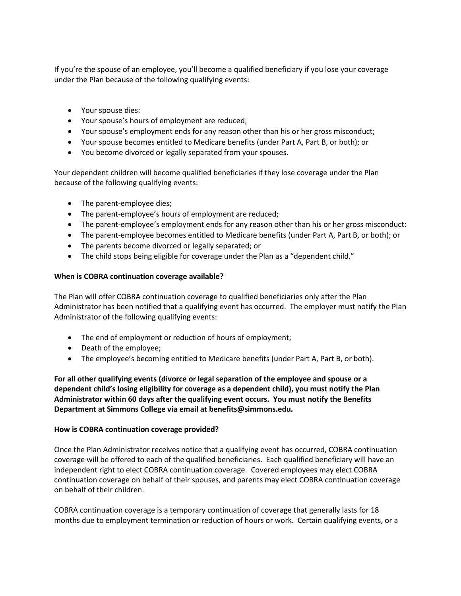If you're the spouse of an employee, you'll become a qualified beneficiary if you lose your coverage under the Plan because of the following qualifying events:

- Your spouse dies:
- Your spouse's hours of employment are reduced;
- Your spouse's employment ends for any reason other than his or her gross misconduct;
- Your spouse becomes entitled to Medicare benefits (under Part A, Part B, or both); or
- You become divorced or legally separated from your spouses.

Your dependent children will become qualified beneficiaries if they lose coverage under the Plan because of the following qualifying events:

- The parent-employee dies;
- The parent-employee's hours of employment are reduced;
- The parent-employee's employment ends for any reason other than his or her gross misconduct:
- The parent-employee becomes entitled to Medicare benefits (under Part A, Part B, or both); or
- The parents become divorced or legally separated; or
- The child stops being eligible for coverage under the Plan as a "dependent child."

#### **When is COBRA continuation coverage available?**

The Plan will offer COBRA continuation coverage to qualified beneficiaries only after the Plan Administrator has been notified that a qualifying event has occurred. The employer must notify the Plan Administrator of the following qualifying events:

- The end of employment or reduction of hours of employment;
- Death of the employee;
- The employee's becoming entitled to Medicare benefits (under Part A, Part B, or both).

**For all other qualifying events (divorce or legal separation of the employee and spouse or a dependent child's losing eligibility for coverage as a dependent child), you must notify the Plan Administrator within 60 days after the qualifying event occurs. You must notify the Benefits Department at Simmons College via email at benefits@simmons.edu.** 

#### **How is COBRA continuation coverage provided?**

Once the Plan Administrator receives notice that a qualifying event has occurred, COBRA continuation coverage will be offered to each of the qualified beneficiaries. Each qualified beneficiary will have an independent right to elect COBRA continuation coverage. Covered employees may elect COBRA continuation coverage on behalf of their spouses, and parents may elect COBRA continuation coverage on behalf of their children.

COBRA continuation coverage is a temporary continuation of coverage that generally lasts for 18 months due to employment termination or reduction of hours or work. Certain qualifying events, or a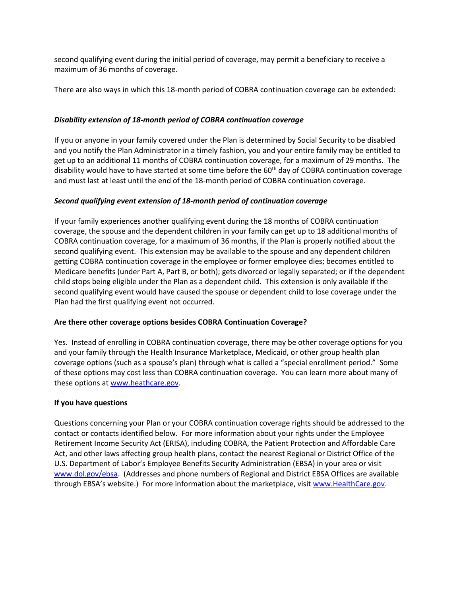second qualifying event during the initial period of coverage, may permit a beneficiary to receive a maximum of 36 months of coverage.

There are also ways in which this 18-month period of COBRA continuation coverage can be extended:

# *Disability extension of 18-month period of COBRA continuation coverage*

If you or anyone in your family covered under the Plan is determined by Social Security to be disabled and you notify the Plan Administrator in a timely fashion, you and your entire family may be entitled to get up to an additional 11 months of COBRA continuation coverage, for a maximum of 29 months. The disability would have to have started at some time before the  $60<sup>th</sup>$  day of COBRA continuation coverage and must last at least until the end of the 18-month period of COBRA continuation coverage.

## *Second qualifying event extension of 18-month period of continuation coverage*

If your family experiences another qualifying event during the 18 months of COBRA continuation coverage, the spouse and the dependent children in your family can get up to 18 additional months of COBRA continuation coverage, for a maximum of 36 months, if the Plan is properly notified about the second qualifying event. This extension may be available to the spouse and any dependent children getting COBRA continuation coverage in the employee or former employee dies; becomes entitled to Medicare benefits (under Part A, Part B, or both); gets divorced or legally separated; or if the dependent child stops being eligible under the Plan as a dependent child. This extension is only available if the second qualifying event would have caused the spouse or dependent child to lose coverage under the Plan had the first qualifying event not occurred.

# **Are there other coverage options besides COBRA Continuation Coverage?**

Yes. Instead of enrolling in COBRA continuation coverage, there may be other coverage options for you and your family through the Health Insurance Marketplace, Medicaid, or other group health plan coverage options (such as a spouse's plan) through what is called a "special enrollment period." Some of these options may cost less than COBRA continuation coverage. You can learn more about many of these options at [www.heathcare.gov.](http://www.heathcare.gov/)

## **If you have questions**

Questions concerning your Plan or your COBRA continuation coverage rights should be addressed to the contact or contacts identified below. For more information about your rights under the Employee Retirement Income Security Act (ERISA), including COBRA, the Patient Protection and Affordable Care Act, and other laws affecting group health plans, contact the nearest Regional or District Office of the U.S. Department of Labor's Employee Benefits Security Administration (EBSA) in your area or visit [www.dol.gov/ebsa.](http://www.dol.gov/ebsa) (Addresses and phone numbers of Regional and District EBSA Offices are available through EBSA's website.) For more information about the marketplace, visit [www.HealthCare.gov.](http://www.healthcare.gov/)